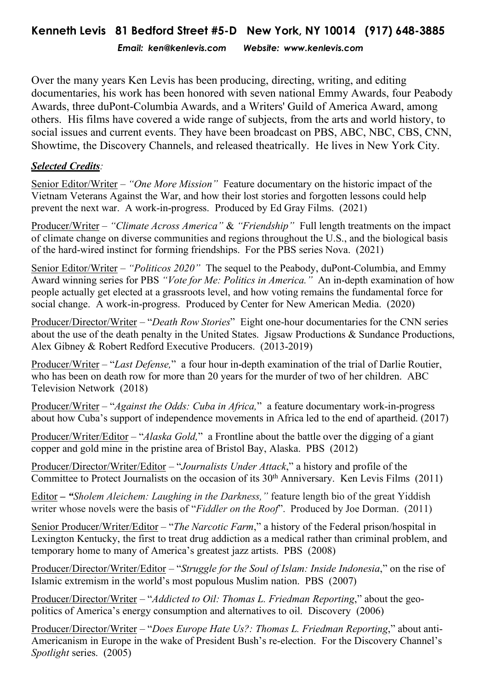*Email: ken@kenlevis.com Website: www.kenlevis.com*

Over the many years Ken Levis has been producing, directing, writing, and editing documentaries, his work has been honored with seven national Emmy Awards, four Peabody Awards, three duPont-Columbia Awards, and a Writers' Guild of America Award, among others. His films have covered a wide range of subjects, from the arts and world history, to social issues and current events. They have been broadcast on PBS, ABC, NBC, CBS, CNN, Showtime, the Discovery Channels, and released theatrically. He lives in New York City.

## *Selected Credits:*

Senior Editor/Writer – *"One More Mission"* Feature documentary on the historic impact of the Vietnam Veterans Against the War, and how their lost stories and forgotten lessons could help prevent the next war. A work-in-progress. Produced by Ed Gray Films. (2021)

Producer/Writer – *"Climate Across America"* & *"Friendship"* Full length treatments on the impact of climate change on diverse communities and regions throughout the U.S., and the biological basis of the hard-wired instinct for forming friendships. For the PBS series Nova. (2021)

Senior Editor/Writer – *"Politicos 2020"* The sequel to the Peabody, duPont-Columbia, and Emmy Award winning series for PBS *"Vote for Me: Politics in America."* An in-depth examination of how people actually get elected at a grassroots level, and how voting remains the fundamental force for social change. A work-in-progress. Produced by Center for New American Media. (2020)

Producer/Director/Writer – "*Death Row Stories*" Eight one-hour documentaries for the CNN series about the use of the death penalty in the United States. Jigsaw Productions & Sundance Productions, Alex Gibney & Robert Redford Executive Producers. (2013-2019)

Producer/Writer – "*Last Defense,*" a four hour in-depth examination of the trial of Darlie Routier, who has been on death row for more than 20 years for the murder of two of her children. ABC Television Network (2018)

Producer/Writer – "*Against the Odds: Cuba in Africa,*" a feature documentary work-in-progress about how Cuba's support of independence movements in Africa led to the end of apartheid. (2017)

Producer/Writer/Editor – "*Alaska Gold,*" a Frontline about the battle over the digging of a giant copper and gold mine in the pristine area of Bristol Bay, Alaska. PBS (2012)

Producer/Director/Writer/Editor – "*Journalists Under Attack*," a history and profile of the Committee to Protect Journalists on the occasion of its 30<sup>th</sup> Anniversary. Ken Levis Films (2011)

Editor **–** *"Sholem Aleichem: Laughing in the Darkness,"* feature length bio of the great Yiddish writer whose novels were the basis of "*Fiddler on the Roof*". Produced by Joe Dorman. (2011)

Senior Producer/Writer/Editor – "*The Narcotic Farm*," a history of the Federal prison/hospital in Lexington Kentucky, the first to treat drug addiction as a medical rather than criminal problem, and temporary home to many of America's greatest jazz artists. PBS (2008)

Producer/Director/Writer/Editor – "*Struggle for the Soul of Islam: Inside Indonesia*," on the rise of Islamic extremism in the world's most populous Muslim nation. PBS (2007)

Producer/Director/Writer – "*Addicted to Oil: Thomas L. Friedman Reporting*," about the geopolitics of America's energy consumption and alternatives to oil. Discovery (2006)

Producer/Director/Writer – "*Does Europe Hate Us?: Thomas L. Friedman Reporting*," about anti-Americanism in Europe in the wake of President Bush's re-election. For the Discovery Channel's *Spotlight* series. (2005)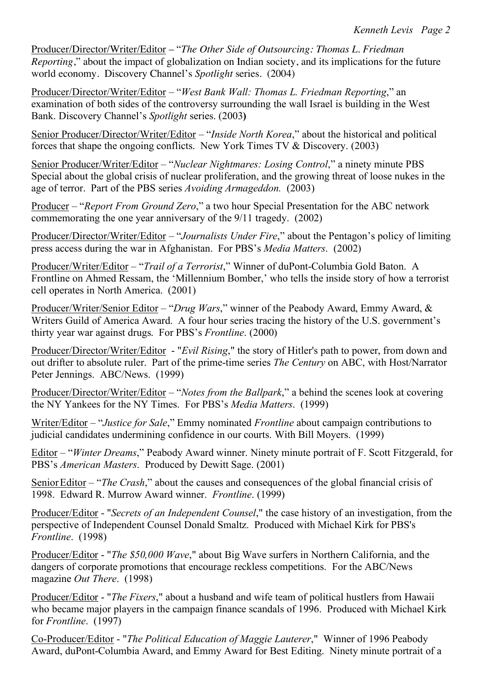Producer/Director/Writer/Editor – "*The Other Side of Outsourcing: Thomas L. Friedman Reporting*," about the impact of globalization on Indian society, and its implications for the future world economy. Discovery Channel's *Spotlight* series. (2004)

Producer/Director/Writer/Editor – "*West Bank Wall: Thomas L. Friedman Reporting*," an examination of both sides of the controversy surrounding the wall Israel is building in the West Bank. Discovery Channel's *Spotlight* series. (2003**)**

Senior Producer/Director/Writer/Editor – "*Inside North Korea*," about the historical and political forces that shape the ongoing conflicts. New York Times TV & Discovery. (2003)

Senior Producer/Writer/Editor – "*Nuclear Nightmares: Losing Control*," a ninety minute PBS Special about the global crisis of nuclear proliferation, and the growing threat of loose nukes in the age of terror. Part of the PBS series *Avoiding Armageddon.* (2003)

Producer – "*Report From Ground Zero*," a two hour Special Presentation for the ABC network commemorating the one year anniversary of the 9/11 tragedy. (2002)

Producer/Director/Writer/Editor – "*Journalists Under Fire*," about the Pentagon's policy of limiting press access during the war in Afghanistan. For PBS's *Media Matters*. (2002)

Producer/Writer/Editor – "*Trail of a Terrorist*," Winner of duPont-Columbia Gold Baton. A Frontline on Ahmed Ressam, the 'Millennium Bomber,' who tells the inside story of how a terrorist cell operates in North America. (2001)

Producer/Writer/Senior Editor – "*Drug Wars*," winner of the Peabody Award, Emmy Award, & Writers Guild of America Award. A four hour series tracing the history of the U.S. government's thirty year war against drugs. For PBS's *Frontline*. (2000)

Producer/Director/Writer/Editor - "*Evil Rising*," the story of Hitler's path to power, from down and out drifter to absolute ruler. Part of the prime-time series *The Century* on ABC, with Host/Narrator Peter Jennings. ABC/News. (1999)

Producer/Director/Writer/Editor – "*Notes from the Ballpark*," a behind the scenes look at covering the NY Yankees for the NY Times. For PBS's *Media Matters*. (1999)

Writer/Editor – "*Justice for Sale*," Emmy nominated *Frontline* about campaign contributions to judicial candidates undermining confidence in our courts. With Bill Moyers. (1999)

Editor – "*Winter Dreams*," Peabody Award winner. Ninety minute portrait of F. Scott Fitzgerald, for PBS's *American Masters*. Produced by Dewitt Sage. (2001)

SeniorEditor – "*The Crash*," about the causes and consequences of the global financial crisis of 1998. Edward R. Murrow Award winner. *Frontline*. (1999)

Producer/Editor - "*Secrets of an Independent Counsel*," the case history of an investigation, from the perspective of Independent Counsel Donald Smaltz. Produced with Michael Kirk for PBS's *Frontline*. (1998)

Producer/Editor - "*The \$50,000 Wave*," about Big Wave surfers in Northern California, and the dangers of corporate promotions that encourage reckless competitions. For the ABC/News magazine *Out There*. (1998)

Producer/Editor - "*The Fixers*," about a husband and wife team of political hustlers from Hawaii who became major players in the campaign finance scandals of 1996. Produced with Michael Kirk for *Frontline*. (1997)

Co-Producer/Editor - "*The Political Education of Maggie Lauterer*," Winner of 1996 Peabody Award, duPont-Columbia Award, and Emmy Award for Best Editing. Ninety minute portrait of a